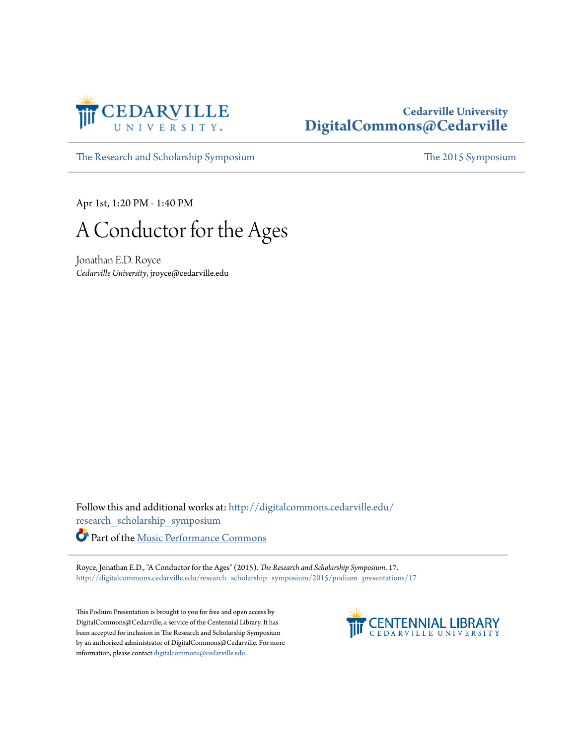

## **Cedarville University [DigitalCommons@Cedarville](http://digitalcommons.cedarville.edu?utm_source=digitalcommons.cedarville.edu%2Fresearch_scholarship_symposium%2F2015%2Fpodium_presentations%2F17&utm_medium=PDF&utm_campaign=PDFCoverPages)**

[The Research and Scholarship Symposium](http://digitalcommons.cedarville.edu/research_scholarship_symposium?utm_source=digitalcommons.cedarville.edu%2Fresearch_scholarship_symposium%2F2015%2Fpodium_presentations%2F17&utm_medium=PDF&utm_campaign=PDFCoverPages) [The 2015 Symposium](http://digitalcommons.cedarville.edu/research_scholarship_symposium/2015?utm_source=digitalcommons.cedarville.edu%2Fresearch_scholarship_symposium%2F2015%2Fpodium_presentations%2F17&utm_medium=PDF&utm_campaign=PDFCoverPages)

Apr 1st, 1:20 PM - 1:40 PM

A Conductor for the Ages

Jonathan E.D. Royce *Cedarville University*, jroyce@cedarville.edu

Follow this and additional works at: [http://digitalcommons.cedarville.edu/](http://digitalcommons.cedarville.edu/research_scholarship_symposium?utm_source=digitalcommons.cedarville.edu%2Fresearch_scholarship_symposium%2F2015%2Fpodium_presentations%2F17&utm_medium=PDF&utm_campaign=PDFCoverPages) [research\\_scholarship\\_symposium](http://digitalcommons.cedarville.edu/research_scholarship_symposium?utm_source=digitalcommons.cedarville.edu%2Fresearch_scholarship_symposium%2F2015%2Fpodium_presentations%2F17&utm_medium=PDF&utm_campaign=PDFCoverPages) Part of the [Music Performance Commons](http://network.bepress.com/hgg/discipline/1128?utm_source=digitalcommons.cedarville.edu%2Fresearch_scholarship_symposium%2F2015%2Fpodium_presentations%2F17&utm_medium=PDF&utm_campaign=PDFCoverPages)

Royce, Jonathan E.D., "A Conductor for the Ages" (2015). *The Research and Scholarship Symposium*. 17. [http://digitalcommons.cedarville.edu/research\\_scholarship\\_symposium/2015/podium\\_presentations/17](http://digitalcommons.cedarville.edu/research_scholarship_symposium/2015/podium_presentations/17?utm_source=digitalcommons.cedarville.edu%2Fresearch_scholarship_symposium%2F2015%2Fpodium_presentations%2F17&utm_medium=PDF&utm_campaign=PDFCoverPages)

This Podium Presentation is brought to you for free and open access by DigitalCommons@Cedarville, a service of the Centennial Library. It has been accepted for inclusion in The Research and Scholarship Symposium by an authorized administrator of DigitalCommons@Cedarville. For more information, please contact [digitalcommons@cedarville.edu.](mailto:digitalcommons@cedarville.edu)

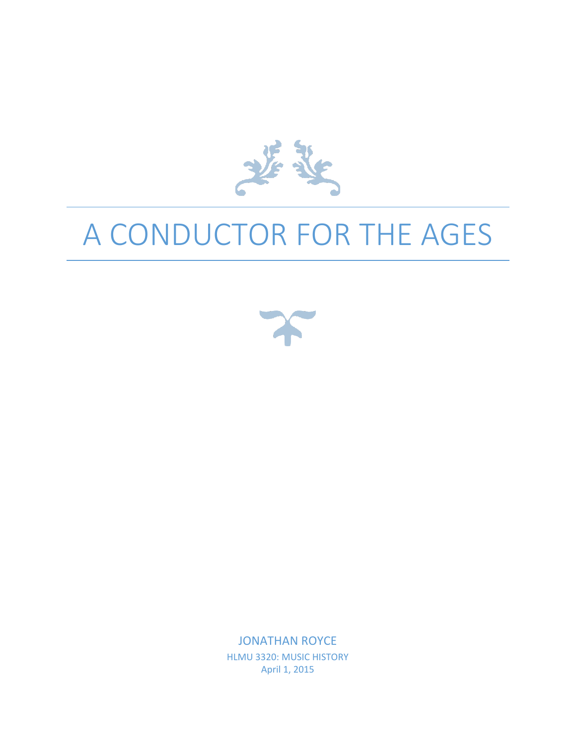

## A CONDUCTOR FOR THE AGES



JONATHAN ROYCE HLMU 3320: MUSIC HISTORY April 1, 2015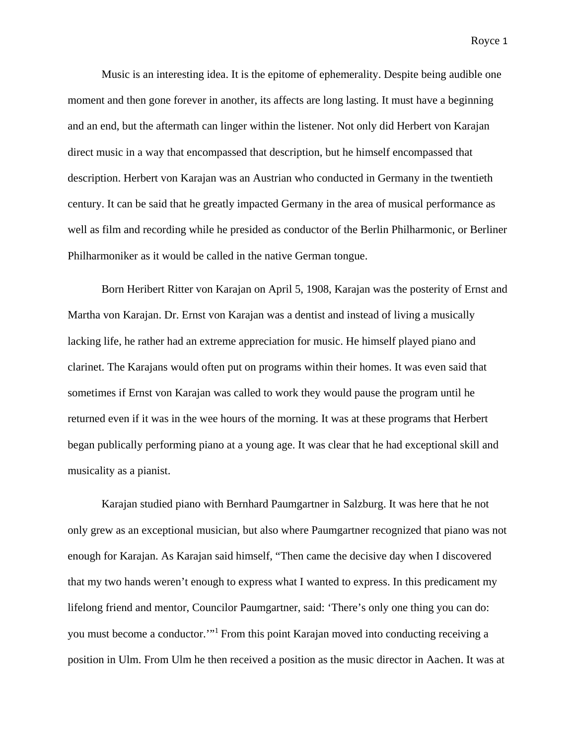Music is an interesting idea. It is the epitome of ephemerality. Despite being audible one moment and then gone forever in another, its affects are long lasting. It must have a beginning and an end, but the aftermath can linger within the listener. Not only did Herbert von Karajan direct music in a way that encompassed that description, but he himself encompassed that description. Herbert von Karajan was an Austrian who conducted in Germany in the twentieth century. It can be said that he greatly impacted Germany in the area of musical performance as well as film and recording while he presided as conductor of the Berlin Philharmonic, or Berliner Philharmoniker as it would be called in the native German tongue.

Born Heribert Ritter von Karajan on April 5, 1908, Karajan was the posterity of Ernst and Martha von Karajan. Dr. Ernst von Karajan was a dentist and instead of living a musically lacking life, he rather had an extreme appreciation for music. He himself played piano and clarinet. The Karajans would often put on programs within their homes. It was even said that sometimes if Ernst von Karajan was called to work they would pause the program until he returned even if it was in the wee hours of the morning. It was at these programs that Herbert began publically performing piano at a young age. It was clear that he had exceptional skill and musicality as a pianist.

Karajan studied piano with Bernhard Paumgartner in Salzburg. It was here that he not only grew as an exceptional musician, but also where Paumgartner recognized that piano was not enough for Karajan. As Karajan said himself, "Then came the decisive day when I discovered that my two hands weren't enough to express what I wanted to express. In this predicament my lifelong friend and mentor, Councilor Paumgartner, said: 'There's only one thing you can do: you must become a conductor.'"<sup>1</sup> From this point Karajan moved into conducting receiving a position in Ulm. From Ulm he then received a position as the music director in Aachen. It was at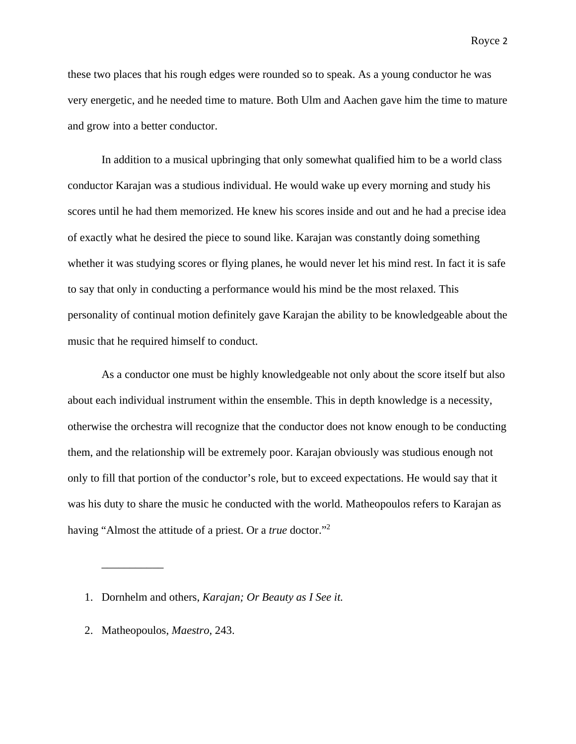these two places that his rough edges were rounded so to speak. As a young conductor he was very energetic, and he needed time to mature. Both Ulm and Aachen gave him the time to mature and grow into a better conductor.

In addition to a musical upbringing that only somewhat qualified him to be a world class conductor Karajan was a studious individual. He would wake up every morning and study his scores until he had them memorized. He knew his scores inside and out and he had a precise idea of exactly what he desired the piece to sound like. Karajan was constantly doing something whether it was studying scores or flying planes, he would never let his mind rest. In fact it is safe to say that only in conducting a performance would his mind be the most relaxed. This personality of continual motion definitely gave Karajan the ability to be knowledgeable about the music that he required himself to conduct.

As a conductor one must be highly knowledgeable not only about the score itself but also about each individual instrument within the ensemble. This in depth knowledge is a necessity, otherwise the orchestra will recognize that the conductor does not know enough to be conducting them, and the relationship will be extremely poor. Karajan obviously was studious enough not only to fill that portion of the conductor's role, but to exceed expectations. He would say that it was his duty to share the music he conducted with the world. Matheopoulos refers to Karajan as having "Almost the attitude of a priest. Or a *true* doctor."<sup>2</sup>

2. Matheopoulos, *Maestro*, 243.

\_\_\_\_\_\_\_\_\_\_\_

<sup>1.</sup> Dornhelm and others, *Karajan; Or Beauty as I See it.*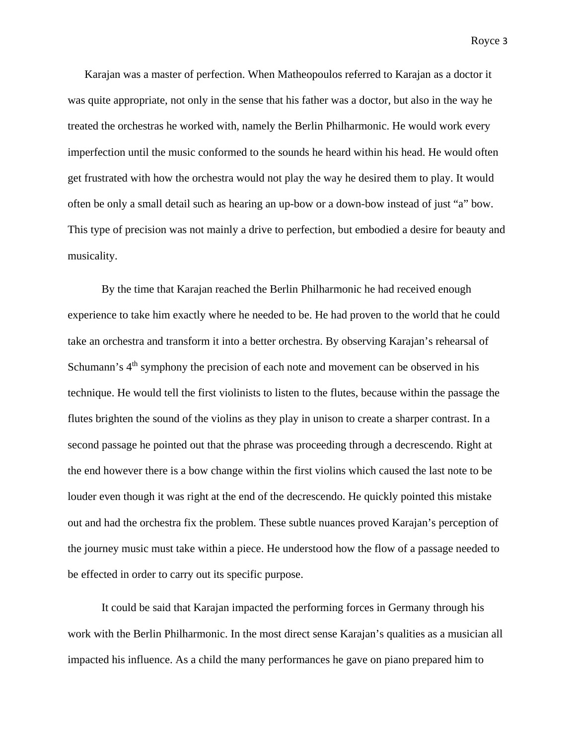Karajan was a master of perfection. When Matheopoulos referred to Karajan as a doctor it was quite appropriate, not only in the sense that his father was a doctor, but also in the way he treated the orchestras he worked with, namely the Berlin Philharmonic. He would work every imperfection until the music conformed to the sounds he heard within his head. He would often get frustrated with how the orchestra would not play the way he desired them to play. It would often be only a small detail such as hearing an up-bow or a down-bow instead of just "a" bow. This type of precision was not mainly a drive to perfection, but embodied a desire for beauty and musicality.

By the time that Karajan reached the Berlin Philharmonic he had received enough experience to take him exactly where he needed to be. He had proven to the world that he could take an orchestra and transform it into a better orchestra. By observing Karajan's rehearsal of Schumann's  $4<sup>th</sup>$  symphony the precision of each note and movement can be observed in his technique. He would tell the first violinists to listen to the flutes, because within the passage the flutes brighten the sound of the violins as they play in unison to create a sharper contrast. In a second passage he pointed out that the phrase was proceeding through a decrescendo. Right at the end however there is a bow change within the first violins which caused the last note to be louder even though it was right at the end of the decrescendo. He quickly pointed this mistake out and had the orchestra fix the problem. These subtle nuances proved Karajan's perception of the journey music must take within a piece. He understood how the flow of a passage needed to be effected in order to carry out its specific purpose.

It could be said that Karajan impacted the performing forces in Germany through his work with the Berlin Philharmonic. In the most direct sense Karajan's qualities as a musician all impacted his influence. As a child the many performances he gave on piano prepared him to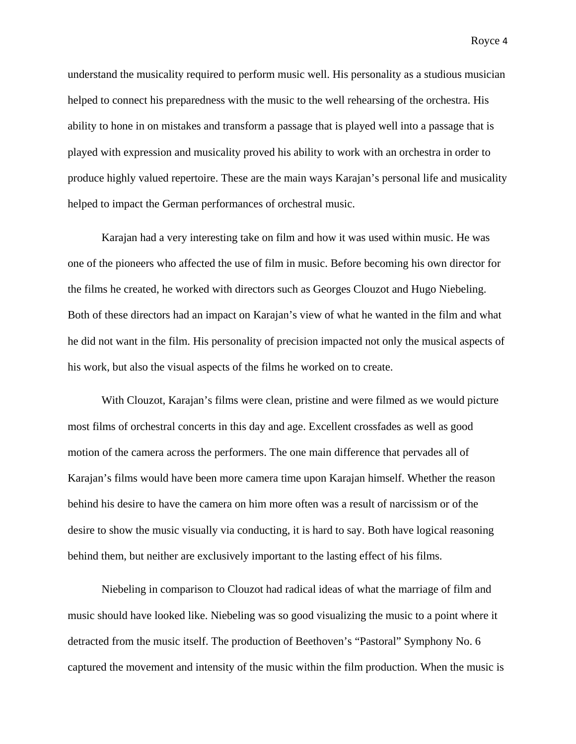understand the musicality required to perform music well. His personality as a studious musician helped to connect his preparedness with the music to the well rehearsing of the orchestra. His ability to hone in on mistakes and transform a passage that is played well into a passage that is played with expression and musicality proved his ability to work with an orchestra in order to produce highly valued repertoire. These are the main ways Karajan's personal life and musicality helped to impact the German performances of orchestral music.

Karajan had a very interesting take on film and how it was used within music. He was one of the pioneers who affected the use of film in music. Before becoming his own director for the films he created, he worked with directors such as Georges Clouzot and Hugo Niebeling. Both of these directors had an impact on Karajan's view of what he wanted in the film and what he did not want in the film. His personality of precision impacted not only the musical aspects of his work, but also the visual aspects of the films he worked on to create.

With Clouzot, Karajan's films were clean, pristine and were filmed as we would picture most films of orchestral concerts in this day and age. Excellent crossfades as well as good motion of the camera across the performers. The one main difference that pervades all of Karajan's films would have been more camera time upon Karajan himself. Whether the reason behind his desire to have the camera on him more often was a result of narcissism or of the desire to show the music visually via conducting, it is hard to say. Both have logical reasoning behind them, but neither are exclusively important to the lasting effect of his films.

Niebeling in comparison to Clouzot had radical ideas of what the marriage of film and music should have looked like. Niebeling was so good visualizing the music to a point where it detracted from the music itself. The production of Beethoven's "Pastoral" Symphony No. 6 captured the movement and intensity of the music within the film production. When the music is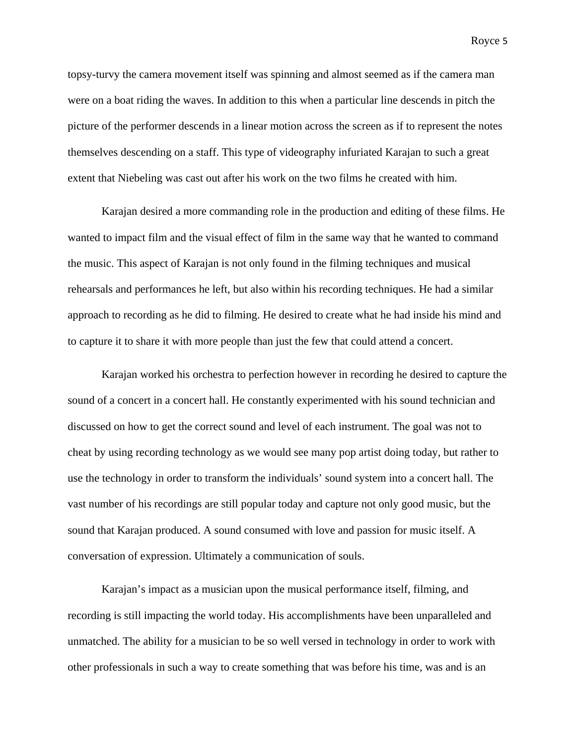topsy-turvy the camera movement itself was spinning and almost seemed as if the camera man were on a boat riding the waves. In addition to this when a particular line descends in pitch the picture of the performer descends in a linear motion across the screen as if to represent the notes themselves descending on a staff. This type of videography infuriated Karajan to such a great extent that Niebeling was cast out after his work on the two films he created with him.

Karajan desired a more commanding role in the production and editing of these films. He wanted to impact film and the visual effect of film in the same way that he wanted to command the music. This aspect of Karajan is not only found in the filming techniques and musical rehearsals and performances he left, but also within his recording techniques. He had a similar approach to recording as he did to filming. He desired to create what he had inside his mind and to capture it to share it with more people than just the few that could attend a concert.

Karajan worked his orchestra to perfection however in recording he desired to capture the sound of a concert in a concert hall. He constantly experimented with his sound technician and discussed on how to get the correct sound and level of each instrument. The goal was not to cheat by using recording technology as we would see many pop artist doing today, but rather to use the technology in order to transform the individuals' sound system into a concert hall. The vast number of his recordings are still popular today and capture not only good music, but the sound that Karajan produced. A sound consumed with love and passion for music itself. A conversation of expression. Ultimately a communication of souls.

Karajan's impact as a musician upon the musical performance itself, filming, and recording is still impacting the world today. His accomplishments have been unparalleled and unmatched. The ability for a musician to be so well versed in technology in order to work with other professionals in such a way to create something that was before his time, was and is an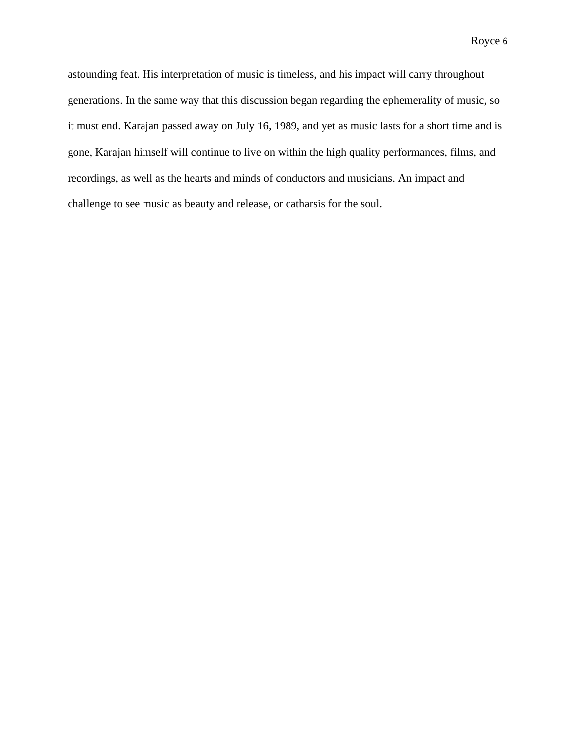astounding feat. His interpretation of music is timeless, and his impact will carry throughout generations. In the same way that this discussion began regarding the ephemerality of music, so it must end. Karajan passed away on July 16, 1989, and yet as music lasts for a short time and is gone, Karajan himself will continue to live on within the high quality performances, films, and recordings, as well as the hearts and minds of conductors and musicians. An impact and challenge to see music as beauty and release, or catharsis for the soul.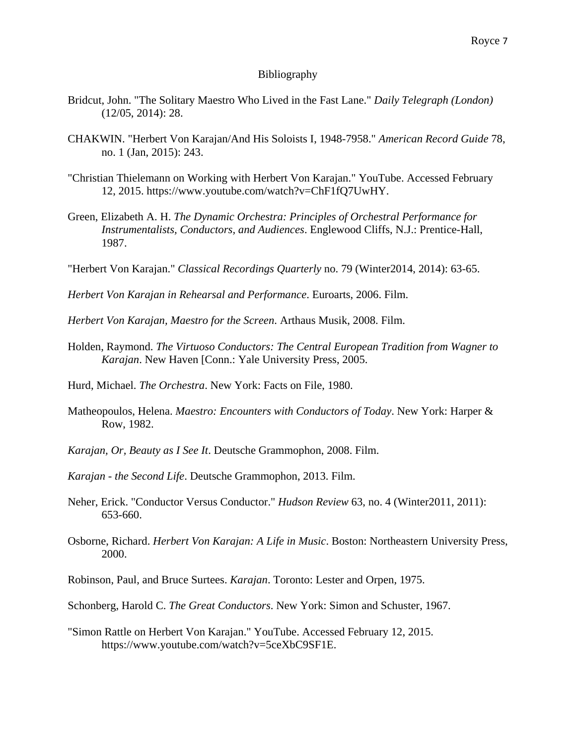## Bibliography

- Bridcut, John. "The Solitary Maestro Who Lived in the Fast Lane." *Daily Telegraph (London)* (12/05, 2014): 28.
- CHAKWIN. "Herbert Von Karajan/And His Soloists I, 1948-7958." *American Record Guide* 78, no. 1 (Jan, 2015): 243.
- "Christian Thielemann on Working with Herbert Von Karajan." YouTube. Accessed February 12, 2015. https://www.youtube.com/watch?v=ChF1fQ7UwHY.
- Green, Elizabeth A. H. *The Dynamic Orchestra: Principles of Orchestral Performance for Instrumentalists, Conductors, and Audiences*. Englewood Cliffs, N.J.: Prentice-Hall, 1987.
- "Herbert Von Karajan." *Classical Recordings Quarterly* no. 79 (Winter2014, 2014): 63-65.
- *Herbert Von Karajan in Rehearsal and Performance*. Euroarts, 2006. Film.
- *Herbert Von Karajan, Maestro for the Screen*. Arthaus Musik, 2008. Film.
- Holden, Raymond. *The Virtuoso Conductors: The Central European Tradition from Wagner to Karajan*. New Haven [Conn.: Yale University Press, 2005.
- Hurd, Michael. *The Orchestra*. New York: Facts on File, 1980.
- Matheopoulos, Helena. *Maestro: Encounters with Conductors of Today*. New York: Harper & Row, 1982.
- *Karajan, Or, Beauty as I See It*. Deutsche Grammophon, 2008. Film.
- *Karajan - the Second Life*. Deutsche Grammophon, 2013. Film.
- Neher, Erick. "Conductor Versus Conductor." *Hudson Review* 63, no. 4 (Winter2011, 2011): 653-660.
- Osborne, Richard. *Herbert Von Karajan: A Life in Music*. Boston: Northeastern University Press, 2000.

Robinson, Paul, and Bruce Surtees. *Karajan*. Toronto: Lester and Orpen, 1975.

Schonberg, Harold C. *The Great Conductors*. New York: Simon and Schuster, 1967.

"Simon Rattle on Herbert Von Karajan." YouTube. Accessed February 12, 2015. https://www.youtube.com/watch?v=5ceXbC9SF1E.